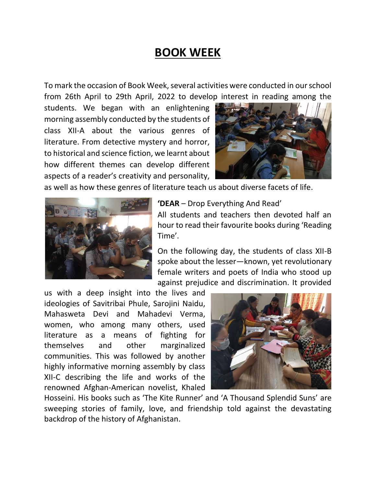## **BOOK WEEK**

To mark the occasion of Book Week, several activities were conducted in our school from 26th April to 29th April, 2022 to develop interest in reading among the

students. We began with an enlightening morning assembly conducted by the students of class XII-A about the various genres of literature. From detective mystery and horror, to historical and science fiction, we learnt about how different themes can develop different aspects of a reader's creativity and personality,



as well as how these genres of literature teach us about diverse facets of life.



**'DEAR** – Drop Everything And Read'

All students and teachers then devoted half an hour to read their favourite books during 'Reading Time'.

On the following day, the students of class XII-B spoke about the lesser—known, yet revolutionary female writers and poets of India who stood up against prejudice and discrimination. It provided

us with a deep insight into the lives and ideologies of Savitribai Phule, Sarojini Naidu, Mahasweta Devi and Mahadevi Verma, women, who among many others, used literature as a means of fighting for themselves and other marginalized communities. This was followed by another highly informative morning assembly by class XII-C describing the life and works of the renowned Afghan-American novelist, Khaled



Hosseini. His books such as 'The Kite Runner' and 'A Thousand Splendid Suns' are sweeping stories of family, love, and friendship told against the devastating backdrop of the history of Afghanistan.